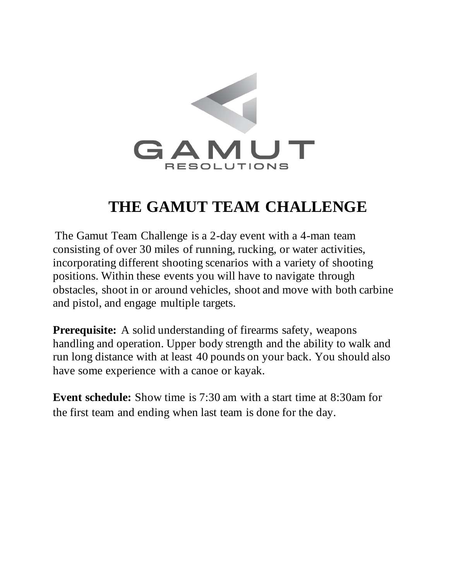

## **THE GAMUT TEAM CHALLENGE**

The Gamut Team Challenge is a 2-day event with a 4-man team consisting of over 30 miles of running, rucking, or water activities, incorporating different shooting scenarios with a variety of shooting positions. Within these events you will have to navigate through obstacles, shoot in or around vehicles, shoot and move with both carbine and pistol, and engage multiple targets.

**Prerequisite:** A solid understanding of firearms safety, weapons handling and operation. Upper body strength and the ability to walk and run long distance with at least 40 pounds on your back. You should also have some experience with a canoe or kayak.

**Event schedule:** Show time is 7:30 am with a start time at 8:30am for the first team and ending when last team is done for the day.